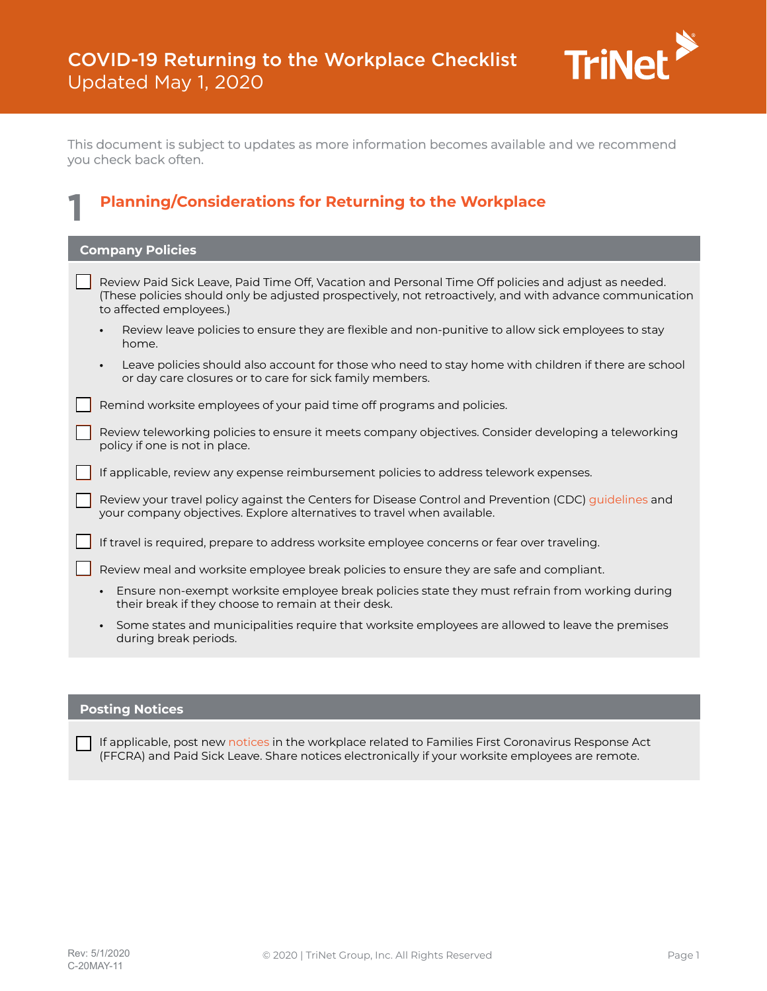

This document is subject to updates as more information becomes available and we recommend you check back often.

| <b>Planning/Considerations for Returning to the Workplace</b>                                                                                                                                                                               |
|---------------------------------------------------------------------------------------------------------------------------------------------------------------------------------------------------------------------------------------------|
| <b>Company Policies</b>                                                                                                                                                                                                                     |
| Review Paid Sick Leave, Paid Time Off, Vacation and Personal Time Off policies and adjust as needed.<br>(These policies should only be adjusted prospectively, not retroactively, and with advance communication<br>to affected employees.) |
| Review leave policies to ensure they are flexible and non-punitive to allow sick employees to stay<br>$\bullet$<br>home.                                                                                                                    |
| Leave policies should also account for those who need to stay home with children if there are school<br>$\bullet$<br>or day care closures or to care for sick family members.                                                               |
| Remind worksite employees of your paid time off programs and policies.                                                                                                                                                                      |
| Review teleworking policies to ensure it meets company objectives. Consider developing a teleworking<br>policy if one is not in place.                                                                                                      |
| If applicable, review any expense reimbursement policies to address telework expenses.                                                                                                                                                      |
| Review your travel policy against the Centers for Disease Control and Prevention (CDC) guidelines and<br>your company objectives. Explore alternatives to travel when available.                                                            |
| If travel is required, prepare to address worksite employee concerns or fear over traveling.                                                                                                                                                |
| Review meal and worksite employee break policies to ensure they are safe and compliant.                                                                                                                                                     |
| Ensure non-exempt worksite employee break policies state they must refrain from working during<br>their break if they choose to remain at their desk.                                                                                       |
| Some states and municipalities require that worksite employees are allowed to leave the premises<br>during break periods.                                                                                                                   |
|                                                                                                                                                                                                                                             |

# **Posting Notices**

Г

If applicable, post new [notices](https://www.dol.gov/sites/dolgov/files/WHD/posters/FFCRA_Poster_WH1422_Non-Federal.pdf) in the workplace related to Families First Coronavirus Response Act (FFCRA) and Paid Sick Leave. Share notices electronically if your worksite employees are remote.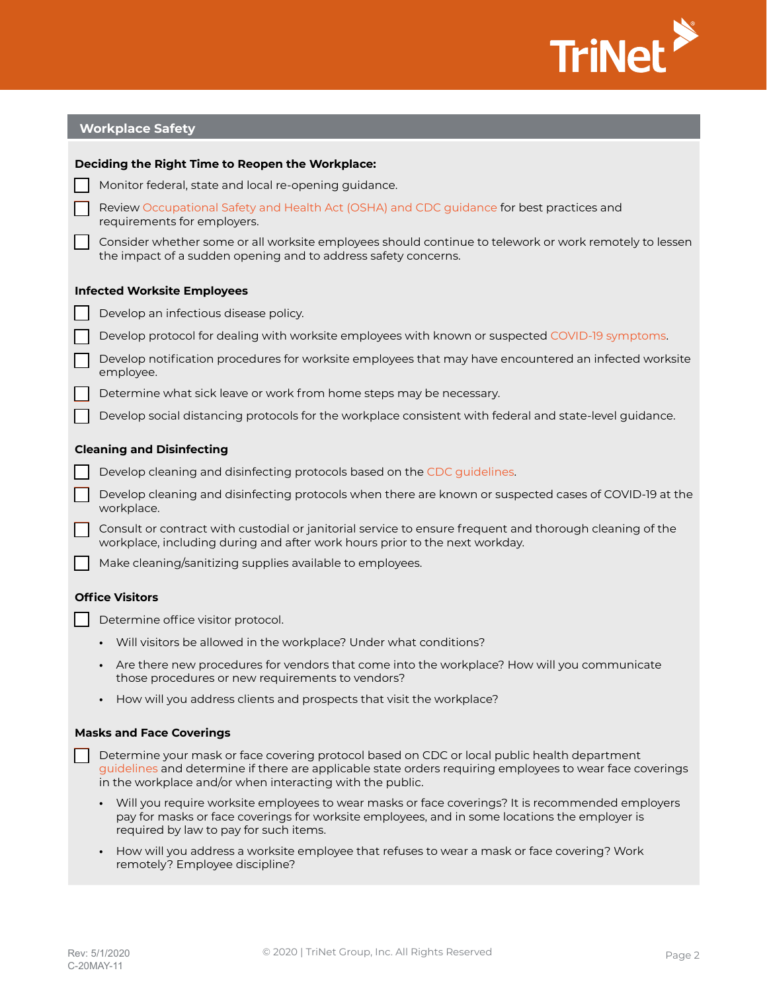

| <b>Workplace Safety</b>                          |                                                                                                                                                                                                                                                                       |  |
|--------------------------------------------------|-----------------------------------------------------------------------------------------------------------------------------------------------------------------------------------------------------------------------------------------------------------------------|--|
| Deciding the Right Time to Reopen the Workplace: |                                                                                                                                                                                                                                                                       |  |
|                                                  | Monitor federal, state and local re-opening guidance.                                                                                                                                                                                                                 |  |
|                                                  | Review Occupational Safety and Health Act (OSHA) and CDC guidance for best practices and<br>requirements for employers.                                                                                                                                               |  |
|                                                  | Consider whether some or all worksite employees should continue to telework or work remotely to lessen<br>the impact of a sudden opening and to address safety concerns.                                                                                              |  |
| <b>Infected Worksite Employees</b>               |                                                                                                                                                                                                                                                                       |  |
|                                                  | Develop an infectious disease policy.                                                                                                                                                                                                                                 |  |
|                                                  | Develop protocol for dealing with worksite employees with known or suspected COVID-19 symptoms.                                                                                                                                                                       |  |
|                                                  | Develop notification procedures for worksite employees that may have encountered an infected worksite<br>employee.                                                                                                                                                    |  |
|                                                  | Determine what sick leave or work from home steps may be necessary.                                                                                                                                                                                                   |  |
|                                                  | Develop social distancing protocols for the workplace consistent with federal and state-level guidance.                                                                                                                                                               |  |
| <b>Cleaning and Disinfecting</b>                 |                                                                                                                                                                                                                                                                       |  |
|                                                  | Develop cleaning and disinfecting protocols based on the CDC guidelines.                                                                                                                                                                                              |  |
|                                                  | Develop cleaning and disinfecting protocols when there are known or suspected cases of COVID-19 at the<br>workplace.                                                                                                                                                  |  |
|                                                  | Consult or contract with custodial or janitorial service to ensure frequent and thorough cleaning of the<br>workplace, including during and after work hours prior to the next workday.                                                                               |  |
|                                                  | Make cleaning/sanitizing supplies available to employees.                                                                                                                                                                                                             |  |
| <b>Office Visitors</b>                           |                                                                                                                                                                                                                                                                       |  |
|                                                  | Determine office visitor protocol.                                                                                                                                                                                                                                    |  |
|                                                  | Will visitors be allowed in the workplace? Under what conditions?                                                                                                                                                                                                     |  |
|                                                  | Are there new procedures for vendors that come into the workplace? How will you communicate<br>$\bullet$<br>those procedures or new requirements to vendors?                                                                                                          |  |
|                                                  | How will you address clients and prospects that visit the workplace?<br>$\bullet$                                                                                                                                                                                     |  |
| <b>Masks and Face Coverings</b>                  |                                                                                                                                                                                                                                                                       |  |
|                                                  | Determine your mask or face covering protocol based on CDC or local public health department<br>guidelines and determine if there are applicable state orders requiring employees to wear face coverings<br>in the workplace and/or when interacting with the public. |  |
|                                                  | Will you require worksite employees to wear masks or face coverings? It is recommended employers<br>pay for masks or face coverings for worksite employees, and in some locations the employer is<br>required by law to pay for such items.                           |  |

**•** How will you address a worksite employee that refuses to wear a mask or face covering? Work remotely? Employee discipline?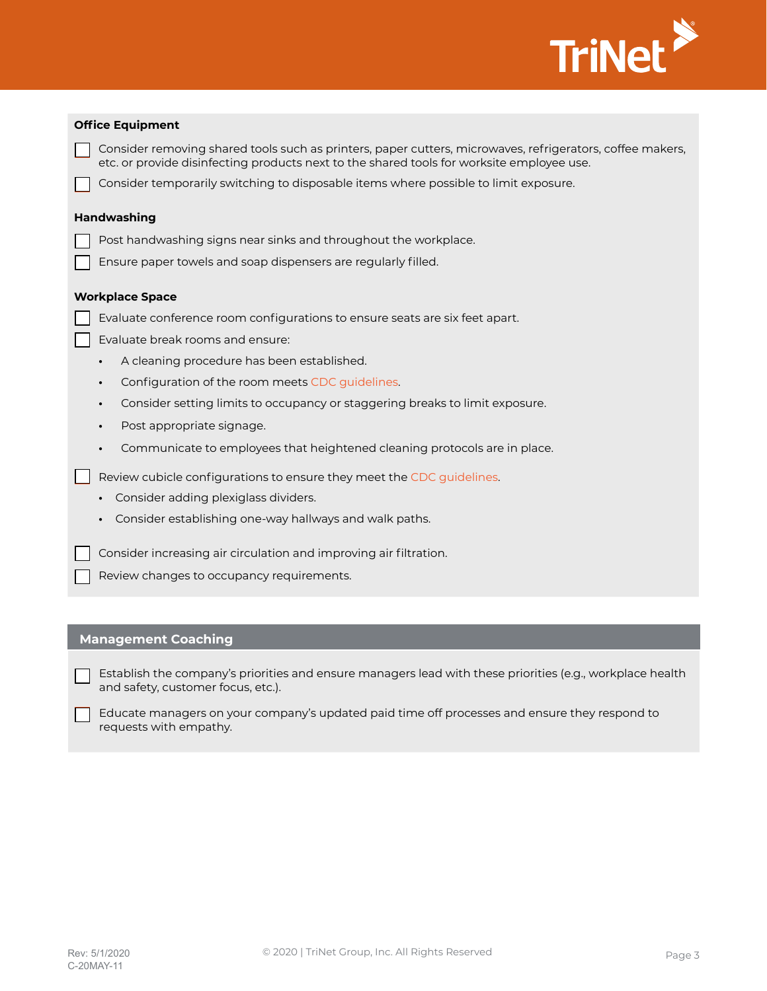

| <b>Office Equipment</b> |                                                                                                                                                                                                        |  |
|-------------------------|--------------------------------------------------------------------------------------------------------------------------------------------------------------------------------------------------------|--|
|                         | Consider removing shared tools such as printers, paper cutters, microwaves, refrigerators, coffee makers,<br>etc. or provide disinfecting products next to the shared tools for worksite employee use. |  |
|                         | Consider temporarily switching to disposable items where possible to limit exposure.                                                                                                                   |  |
|                         | <b>Handwashing</b>                                                                                                                                                                                     |  |
|                         | Post handwashing signs near sinks and throughout the workplace.                                                                                                                                        |  |
|                         | Ensure paper towels and soap dispensers are regularly filled.                                                                                                                                          |  |
|                         | <b>Workplace Space</b>                                                                                                                                                                                 |  |
|                         | Evaluate conference room configurations to ensure seats are six feet apart.                                                                                                                            |  |
|                         | Evaluate break rooms and ensure:                                                                                                                                                                       |  |
|                         | A cleaning procedure has been established.<br>$\bullet$                                                                                                                                                |  |
|                         | Configuration of the room meets CDC guidelines.<br>$\bullet$                                                                                                                                           |  |
|                         | Consider setting limits to occupancy or staggering breaks to limit exposure.<br>$\bullet$                                                                                                              |  |
|                         | Post appropriate signage.<br>$\bullet$                                                                                                                                                                 |  |
|                         | Communicate to employees that heightened cleaning protocols are in place.<br>$\bullet$                                                                                                                 |  |
|                         | Review cubicle configurations to ensure they meet the CDC guidelines.                                                                                                                                  |  |
|                         | Consider adding plexiglass dividers.<br>$\bullet$                                                                                                                                                      |  |
|                         | Consider establishing one-way hallways and walk paths.<br>$\bullet$                                                                                                                                    |  |
|                         | Consider increasing air circulation and improving air filtration.                                                                                                                                      |  |

 $\Box$  Review changes to occupancy requirements.

# **Management Coaching**

 $\Box$  Establish the company's priorities and ensure managers lead with these priorities (e.g., workplace health and safety, customer focus, etc.).

Educate managers on your company's updated paid time off processes and ensure they respond to requests with empathy.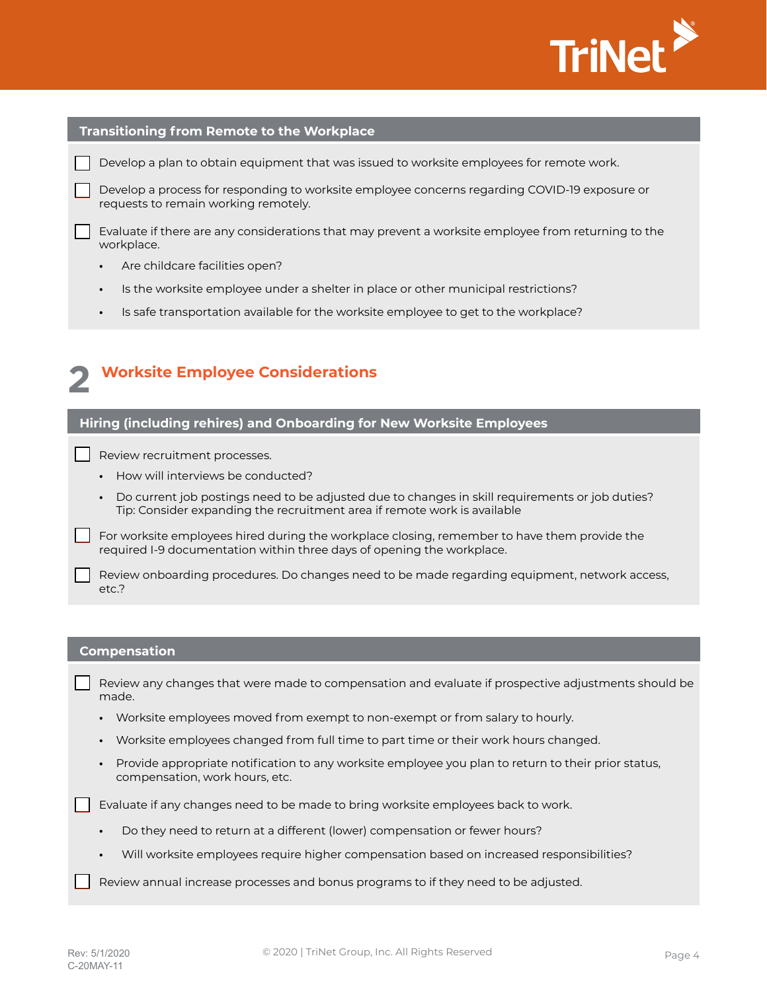

#### **Transitioning from Remote to the Workplace**

Develop a plan to obtain equipment that was issued to worksite employees for remote work.

Develop a process for responding to worksite employee concerns regarding COVID-19 exposure or requests to remain working remotely.

 $\vert\,\,\vert$  Evaluate if there are any considerations that may prevent a worksite employee from returning to the workplace.

- **•** Are childcare facilities open?
- **•** Is the worksite employee under a shelter in place or other municipal restrictions?
- **•** Is safe transportation available for the worksite employee to get to the workplace?

# **Worksite Employee Considerations 2**

### **Hiring (including rehires) and Onboarding for New Worksite Employees**

Review recruitment processes.

- **•** How will interviews be conducted?
- **•** Do current job postings need to be adjusted due to changes in skill requirements or job duties? Tip: Consider expanding the recruitment area if remote work is available

For worksite employees hired during the workplace closing, remember to have them provide the required I-9 documentation within three days of opening the workplace.

 $\vert\,\,\vert$  Review onboarding procedures. Do changes need to be made regarding equipment, network access, etc.?

#### **Compensation**

Review any changes that were made to compensation and evaluate if prospective adjustments should be made.

- **•** Worksite employees moved from exempt to non-exempt or from salary to hourly.
- **•** Worksite employees changed from full time to part time or their work hours changed.
- **•** Provide appropriate notification to any worksite employee you plan to return to their prior status, compensation, work hours, etc.

Evaluate if any changes need to be made to bring worksite employees back to work.

- **•** Do they need to return at a different (lower) compensation or fewer hours?
- **•** Will worksite employees require higher compensation based on increased responsibilities?

Review annual increase processes and bonus programs to if they need to be adjusted.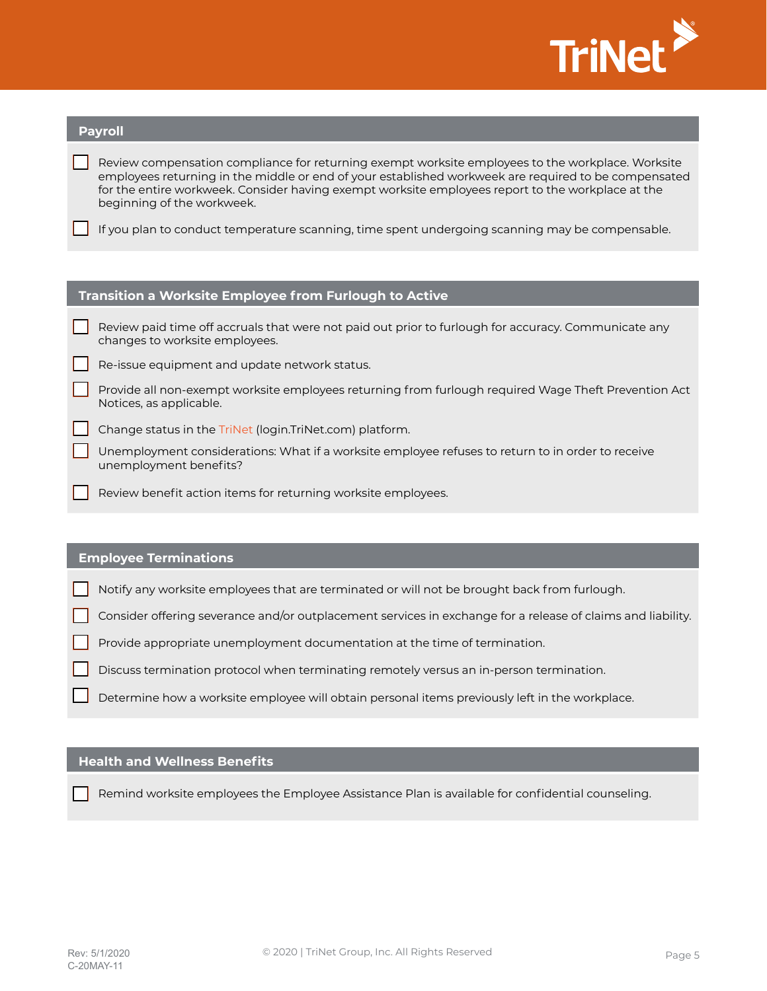

| <b>Payroll</b>                                         |                                                                                                                                                                                                                                                                                                                                              |  |
|--------------------------------------------------------|----------------------------------------------------------------------------------------------------------------------------------------------------------------------------------------------------------------------------------------------------------------------------------------------------------------------------------------------|--|
|                                                        | Review compensation compliance for returning exempt worksite employees to the workplace. Worksite<br>employees returning in the middle or end of your established workweek are required to be compensated<br>for the entire workweek. Consider having exempt worksite employees report to the workplace at the<br>beginning of the workweek. |  |
|                                                        | If you plan to conduct temperature scanning, time spent undergoing scanning may be compensable.                                                                                                                                                                                                                                              |  |
|                                                        |                                                                                                                                                                                                                                                                                                                                              |  |
| Transition a Worksite Employee from Furlough to Active |                                                                                                                                                                                                                                                                                                                                              |  |
|                                                        | Review paid time off accruals that were not paid out prior to furlough for accuracy. Communicate any<br>changes to worksite employees.                                                                                                                                                                                                       |  |
|                                                        | Re-issue equipment and update network status.                                                                                                                                                                                                                                                                                                |  |
|                                                        | Provide all non-exempt worksite employees returning from furlough required Wage Theft Prevention Act<br>Notices, as applicable.                                                                                                                                                                                                              |  |
|                                                        | Change status in the TriNet (login.TriNet.com) platform.                                                                                                                                                                                                                                                                                     |  |
|                                                        | Unemployment considerations: What if a worksite employee refuses to return to in order to receive<br>unemployment benefits?                                                                                                                                                                                                                  |  |
|                                                        | Review benefit action items for returning worksite employees.                                                                                                                                                                                                                                                                                |  |
|                                                        |                                                                                                                                                                                                                                                                                                                                              |  |
|                                                        | <b>Employee Terminations</b>                                                                                                                                                                                                                                                                                                                 |  |
|                                                        | Notify any worksite employees that are terminated or will not be brought back from furlough.                                                                                                                                                                                                                                                 |  |

Consider offering severance and/or outplacement services in exchange for a release of claims and liability.

Provide appropriate unemployment documentation at the time of termination.

Discuss termination protocol when terminating remotely versus an in-person termination.

Determine how a worksite employee will obtain personal items previously left in the workplace.

# **Health and Wellness Benefits**

Remind worksite employees the Employee Assistance Plan is available for confidential counseling.